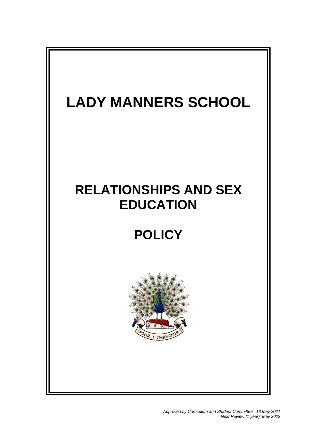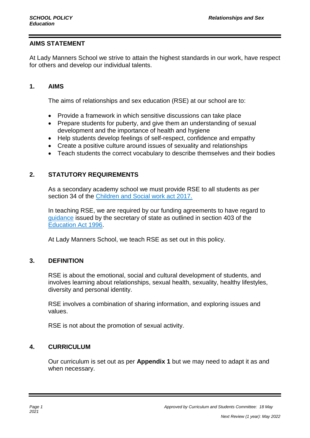## **AIMS STATEMENT**

At Lady Manners School we strive to attain the highest standards in our work, have respect for others and develop our individual talents.

### **1. AIMS**

The aims of relationships and sex education (RSE) at our school are to:

- Provide a framework in which sensitive discussions can take place
- Prepare students for puberty, and give them an understanding of sexual development and the importance of health and hygiene
- Help students develop feelings of self-respect, confidence and empathy
- Create a positive culture around issues of sexuality and relationships
- Teach students the correct vocabulary to describe themselves and their bodies

## **2. STATUTORY REQUIREMENTS**

As a secondary academy school we must provide RSE to all students as per section 34 of the [Children and Social work act 2017.](http://www.legislation.gov.uk/ukpga/2017/16/section/34/enacted)

In teaching RSE, we are required by our funding agreements to have regard to [guidance](https://www.gov.uk/government/consultations/relationships-and-sex-education-and-health-education) issued by the secretary of state as outlined in section 403 of the [Education Act 1996.](http://www.legislation.gov.uk/ukpga/1996/56/contents)

At Lady Manners School, we teach RSE as set out in this policy.

## **3. DEFINITION**

RSE is about the emotional, social and cultural development of students, and involves learning about relationships, sexual health, sexuality, healthy lifestyles, diversity and personal identity.

RSE involves a combination of sharing information, and exploring issues and values.

RSE is not about the promotion of sexual activity.

## **4. CURRICULUM**

Our curriculum is set out as per **Appendix 1** but we may need to adapt it as and when necessary.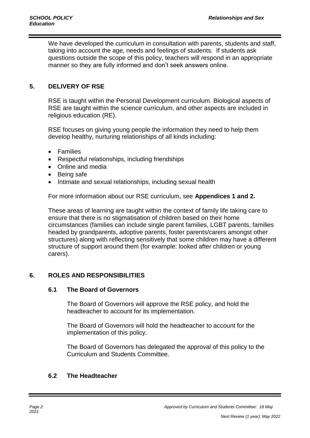We have developed the curriculum in consultation with parents, students and staff, taking into account the age, needs and feelings of students. If students ask questions outside the scope of this policy, teachers will respond in an appropriate manner so they are fully informed and don't seek answers online.

## **5. DELIVERY OF RSE**

RSE is taught within the Personal Development curriculum. Biological aspects of RSE are taught within the science curriculum, and other aspects are included in religious education (RE).

RSE focuses on giving young people the information they need to help them develop healthy, nurturing relationships of all kinds including:

- Families
- Respectful relationships, including friendships
- Online and media
- Being safe
- Intimate and sexual relationships, including sexual health

For more information about our RSE curriculum, see **Appendices 1 and 2.**

These areas of learning are taught within the context of family life taking care to ensure that there is no stigmatisation of children based on their home circumstances (families can include single parent families, LGBT parents, families headed by grandparents, adoptive parents, foster parents/carers amongst other structures) along with reflecting sensitively that some children may have a different structure of support around them (for example: looked after children or young carers).

## **6. ROLES AND RESPONSIBILITIES**

#### **6.1 The Board of Governors**

The Board of Governors will approve the RSE policy, and hold the headteacher to account for its implementation.

The Board of Governors will hold the headteacher to account for the implementation of this policy.

The Board of Governors has delegated the approval of this policy to the Curriculum and Students Committee.

## **6.2 The Headteacher**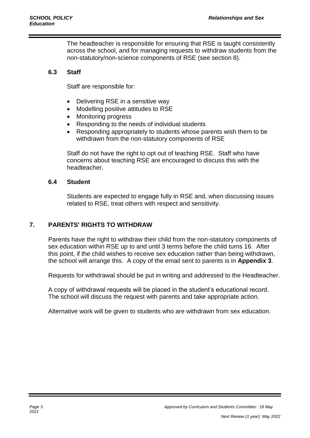The headteacher is responsible for ensuring that RSE is taught consistently across the school, and for managing requests to withdraw students from the non-statutory/non-science components of RSE (see section 8).

#### **6.3 Staff**

Staff are responsible for:

- Delivering RSE in a sensitive way
- Modelling positive attitudes to RSE
- Monitoring progress
- Responding to the needs of individual students
- Responding appropriately to students whose parents wish them to be withdrawn from the non-statutory components of RSE

Staff do not have the right to opt out of teaching RSE. Staff who have concerns about teaching RSE are encouraged to discuss this with the headteacher.

#### **6.4 Student**

Students are expected to engage fully in RSE and, when discussing issues related to RSE, treat others with respect and sensitivity.

#### **7. PARENTS' RIGHTS TO WITHDRAW**

Parents have the right to withdraw their child from the non-statutory components of sex education within RSE up to and until 3 terms before the child turns 16. After this point, if the child wishes to receive sex education rather than being withdrawn, the school will arrange this. A copy of the email sent to parents is in **Appendix 3**.

Requests for withdrawal should be put in writing and addressed to the Headteacher.

A copy of withdrawal requests will be placed in the student's educational record. The school will discuss the request with parents and take appropriate action.

Alternative work will be given to students who are withdrawn from sex education.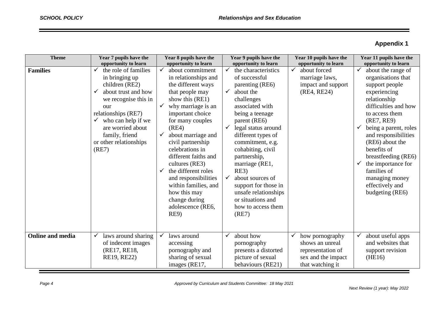# **Appendix 1**

| <b>Theme</b>            | Year 7 pupils have the                                                                                                                                                                                                                                                                  | Year 8 pupils have the                                                                                                                                                                                                                                                                                                                                                                                                                                                                                | Year 9 pupils have the                                                                                                                                                                                                                                                                                                                                                                                                                                                                   | Year 10 pupils have the                                                                                     | Year 11 pupils have the                                                                                                                                                                                                                                                                                                                                                                                           |
|-------------------------|-----------------------------------------------------------------------------------------------------------------------------------------------------------------------------------------------------------------------------------------------------------------------------------------|-------------------------------------------------------------------------------------------------------------------------------------------------------------------------------------------------------------------------------------------------------------------------------------------------------------------------------------------------------------------------------------------------------------------------------------------------------------------------------------------------------|------------------------------------------------------------------------------------------------------------------------------------------------------------------------------------------------------------------------------------------------------------------------------------------------------------------------------------------------------------------------------------------------------------------------------------------------------------------------------------------|-------------------------------------------------------------------------------------------------------------|-------------------------------------------------------------------------------------------------------------------------------------------------------------------------------------------------------------------------------------------------------------------------------------------------------------------------------------------------------------------------------------------------------------------|
| <b>Families</b>         | opportunity to learn<br>the role of families<br>✓<br>in bringing up<br>children (RE2)<br>about trust and how<br>✓<br>we recognise this in<br>our<br>relationships (RE7)<br>who can help if we<br>$\checkmark$<br>are worried about<br>family, friend<br>or other relationships<br>(RE7) | opportunity to learn<br>about commitment<br>✓<br>in relationships and<br>the different ways<br>that people may<br>show this (RE1)<br>why marriage is an<br>$\checkmark$<br>important choice<br>for many couples<br>(RE4)<br>about marriage and<br>$\checkmark$<br>civil partnership<br>celebrations in<br>different faiths and<br>cultures (RE3)<br>the different roles<br>$\checkmark$<br>and responsibilities<br>within families, and<br>how this may<br>change during<br>adolescence (RE6,<br>RE9) | opportunity to learn<br>$\checkmark$<br>the characteristics<br>of successful<br>parenting (RE6)<br>$\checkmark$<br>about the<br>challenges<br>associated with<br>being a teenage<br>parent (RE6)<br>legal status around<br>$\checkmark$<br>different types of<br>commitment, e.g.<br>cohabiting, civil<br>partnership,<br>marriage (RE1,<br>RE3)<br>about sources of<br>$\checkmark$<br>support for those in<br>unsafe relationships<br>or situations and<br>how to access them<br>(RE7) | opportunity to learn<br>$\checkmark$<br>about forced<br>marriage laws,<br>impact and support<br>(RE4, RE24) | opportunity to learn<br>about the range of<br>organisations that<br>support people<br>experiencing<br>relationship<br>difficulties and how<br>to access them<br>(RE7, RE9)<br>$\checkmark$<br>being a parent, roles<br>and responsibilities<br>(RE6) about the<br>benefits of<br>breastfeeding (RE6)<br>the importance for<br>$\checkmark$<br>families of<br>managing money<br>effectively and<br>budgeting (RE6) |
| <b>Online and media</b> | laws around sharing<br>✓<br>of indecent images<br>(RE17, RE18,<br>RE19, RE22)                                                                                                                                                                                                           | laws around<br>accessing<br>pornography and<br>sharing of sexual<br>images (RE17,                                                                                                                                                                                                                                                                                                                                                                                                                     | about how<br>✓<br>pornography<br>presents a distorted<br>picture of sexual<br>behaviours (RE21)                                                                                                                                                                                                                                                                                                                                                                                          | how pornography<br>shows an unreal<br>representation of<br>sex and the impact<br>that watching it           | about useful apps<br>and websites that<br>support revision<br>(HE16)                                                                                                                                                                                                                                                                                                                                              |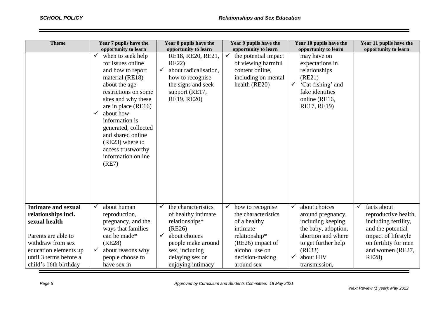| <b>Theme</b>                                                                                                                                                                               | Year 7 pupils have the<br>opportunity to learn                                                                                                                                                                                                                                                                                                 | Year 8 pupils have the<br>opportunity to learn                                                                                                                                               | Year 9 pupils have the<br>opportunity to learn                                                                                                              | Year 10 pupils have the<br>opportunity to learn                                                                                                                                                     | Year 11 pupils have the<br>opportunity to learn                                                                                                                                      |
|--------------------------------------------------------------------------------------------------------------------------------------------------------------------------------------------|------------------------------------------------------------------------------------------------------------------------------------------------------------------------------------------------------------------------------------------------------------------------------------------------------------------------------------------------|----------------------------------------------------------------------------------------------------------------------------------------------------------------------------------------------|-------------------------------------------------------------------------------------------------------------------------------------------------------------|-----------------------------------------------------------------------------------------------------------------------------------------------------------------------------------------------------|--------------------------------------------------------------------------------------------------------------------------------------------------------------------------------------|
|                                                                                                                                                                                            | $\checkmark$<br>when to seek help<br>for issues online<br>and how to report<br>material (RE18)<br>about the age<br>restrictions on some<br>sites and why these<br>are in place (RE16)<br>about how<br>✓<br>information is<br>generated, collected<br>and shared online<br>(RE23) where to<br>access trustworthy<br>information online<br>(RE7) | RE18, RE20, RE21,<br><b>RE22</b> )<br>about radicalisation,<br>$\checkmark$<br>how to recognise<br>the signs and seek<br>support (RE17,<br>RE19, RE20)                                       | $\checkmark$<br>the potential impact<br>of viewing harmful<br>content online,<br>including on mental<br>health (RE20)                                       | may have on<br>expectations in<br>relationships<br>(RE21)<br>'Cat-fishing' and<br>$\checkmark$<br>fake identities<br>online (RE16,<br>RE17, RE19)                                                   |                                                                                                                                                                                      |
| <b>Intimate and sexual</b><br>relationships incl.<br>sexual health<br>Parents are able to<br>withdraw from sex<br>education elements up<br>until 3 terms before a<br>child's 16th birthday | about human<br>$\checkmark$<br>reproduction,<br>pregnancy, and the<br>ways that families<br>can be made*<br>(RE28)<br>about reasons why<br>✓<br>people choose to<br>have sex in                                                                                                                                                                | the characteristics<br>✓<br>of healthy intimate<br>relationships*<br>(RE26)<br>about choices<br>$\checkmark$<br>people make around<br>sex, including<br>delaying sex or<br>enjoying intimacy | how to recognise<br>the characteristics<br>of a healthy<br>intimate<br>relationship*<br>(RE26) impact of<br>alcohol use on<br>decision-making<br>around sex | about choices<br>$\checkmark$<br>around pregnancy,<br>including keeping<br>the baby, adoption,<br>abortion and where<br>to get further help<br>(RE33)<br>about HIV<br>$\checkmark$<br>transmission, | facts about<br>$\checkmark$<br>reproductive health,<br>including fertility,<br>and the potential<br>impact of lifestyle<br>on fertility for men<br>and women (RE27,<br><b>RE28</b> ) |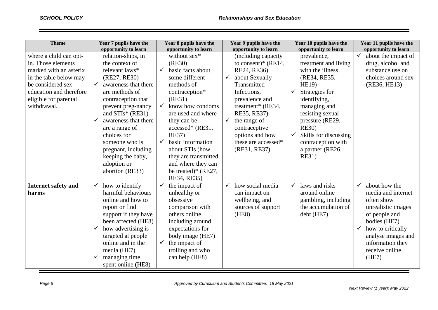| <b>Theme</b>                                                                                                                                                                             | Year 7 pupils have the<br>opportunity to learn                                                                                                                                                                                                                                                                                                               | Year 8 pupils have the<br>opportunity to learn                                                                                                                                                                                                                                                                                                                                   | Year 9 pupils have the<br>opportunity to learn                                                                                                                                                                                                                                                | Year 10 pupils have the<br>opportunity to learn                                                                                                                                                                                                                                                        | Year 11 pupils have the<br>opportunity to learn                                                                                                                                                    |
|------------------------------------------------------------------------------------------------------------------------------------------------------------------------------------------|--------------------------------------------------------------------------------------------------------------------------------------------------------------------------------------------------------------------------------------------------------------------------------------------------------------------------------------------------------------|----------------------------------------------------------------------------------------------------------------------------------------------------------------------------------------------------------------------------------------------------------------------------------------------------------------------------------------------------------------------------------|-----------------------------------------------------------------------------------------------------------------------------------------------------------------------------------------------------------------------------------------------------------------------------------------------|--------------------------------------------------------------------------------------------------------------------------------------------------------------------------------------------------------------------------------------------------------------------------------------------------------|----------------------------------------------------------------------------------------------------------------------------------------------------------------------------------------------------|
| where a child can opt-<br>in. Those elements<br>marked with an asterix<br>in the table below may<br>be considered sex<br>education and therefore<br>eligible for parental<br>withdrawal. | relation-ships, in<br>the context of<br>relevant laws*<br>(RE27, RE30)<br>awareness that there<br>are methods of<br>contraception that<br>prevent preg-nancy<br>and $STIs^*$ (RE31)<br>awareness that there<br>$\checkmark$<br>are a range of<br>choices for<br>someone who is<br>pregnant, including<br>keeping the baby,<br>adoption or<br>abortion (RE33) | without sex*<br>(RE30)<br>basic facts about<br>$\checkmark$<br>some different<br>methods of<br>contraception*<br>(RE31)<br>$\checkmark$<br>know how condoms<br>are used and where<br>they can be<br>accessed* (RE31,<br><b>RE37)</b><br>basic information<br>$\checkmark$<br>about STIs (how<br>they are transmitted<br>and where they can<br>be treated)* (RE27,<br>RE34, RE35) | (including capacity)<br>to consent)* $(RE14,$<br>RE24, RE36)<br>about Sexually<br>$\checkmark$<br>Transmitted<br>Infections,<br>prevalence and<br>treatment* (RE34,<br>RE35, RE37)<br>the range of<br>$\checkmark$<br>contraceptive<br>options and how<br>these are accessed*<br>(RE31, RE37) | prevalence,<br>treatment and living<br>with the illness<br>(RE34, RE35,<br><b>HE19</b> )<br>Strategies for<br>identifying,<br>managing and<br>resisting sexual<br>pressure (RE29,<br><b>RE30</b> )<br>$\checkmark$<br>Skills for discussing<br>contraception with<br>a partner (RE26,<br><b>RE31</b> ) | about the impact of<br>drug, alcohol and<br>substance use on<br>choices around sex<br>(RE36, HE13)                                                                                                 |
| Internet safety and<br>harms                                                                                                                                                             | how to identify<br>harmful behaviours<br>online and how to<br>report or find<br>support if they have<br>been affected (HE8)<br>how advertising is<br>$\checkmark$<br>targeted at people<br>online and in the<br>media (HE7)<br>managing time<br>$\checkmark$<br>spent online (HE8)                                                                           | the impact of<br>unhealthy or<br>obsessive<br>comparison with<br>others online,<br>including around<br>expectations for<br>body image (HE7)<br>$\checkmark$<br>the impact of<br>trolling and who<br>can help (HE8)                                                                                                                                                               | how social media<br>$\checkmark$<br>can impact on<br>wellbeing, and<br>sources of support<br>(HE8)                                                                                                                                                                                            | laws and risks<br>$\checkmark$<br>around online<br>gambling, including<br>the accumulation of<br>debt (HE7)                                                                                                                                                                                            | about how the<br>media and internet<br>often show<br>unrealistic images<br>of people and<br>bodies (HE7)<br>how to critically<br>analyse images and<br>information they<br>receive online<br>(HE7) |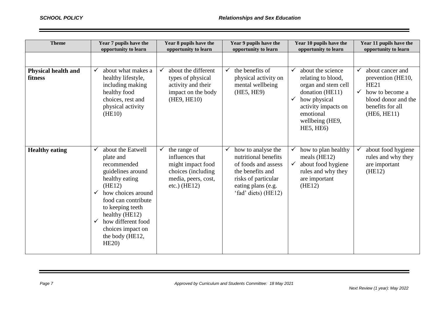| <b>Theme</b>                   | Year 7 pupils have the<br>opportunity to learn                                                                                                                                                                                                                                                                   | Year 8 pupils have the<br>opportunity to learn                                                                      | Year 9 pupils have the<br>opportunity to learn                                                                                                            | Year 10 pupils have the<br>opportunity to learn                                                                                                                                      | Year 11 pupils have the<br>opportunity to learn                                                                                                                   |
|--------------------------------|------------------------------------------------------------------------------------------------------------------------------------------------------------------------------------------------------------------------------------------------------------------------------------------------------------------|---------------------------------------------------------------------------------------------------------------------|-----------------------------------------------------------------------------------------------------------------------------------------------------------|--------------------------------------------------------------------------------------------------------------------------------------------------------------------------------------|-------------------------------------------------------------------------------------------------------------------------------------------------------------------|
|                                |                                                                                                                                                                                                                                                                                                                  |                                                                                                                     |                                                                                                                                                           |                                                                                                                                                                                      |                                                                                                                                                                   |
| Physical health and<br>fitness | about what makes a<br>healthy lifestyle,<br>including making<br>healthy food<br>choices, rest and<br>physical activity<br>(HE10)                                                                                                                                                                                 | about the different<br>$\checkmark$<br>types of physical<br>activity and their<br>impact on the body<br>(HE9, HE10) | the benefits of<br>$\checkmark$<br>physical activity on<br>mental wellbeing<br>(HE5, HE9)                                                                 | about the science<br>relating to blood,<br>organ and stem cell<br>donation (HE11)<br>how physical<br>$\checkmark$<br>activity impacts on<br>emotional<br>wellbeing (HE9,<br>HE5, HE6 | about cancer and<br>$\checkmark$<br>prevention (HE10,<br><b>HE21</b><br>$\checkmark$<br>how to become a<br>blood donor and the<br>benefits for all<br>(HE6, HE11) |
| <b>Healthy eating</b>          | about the Eatwell<br>$\checkmark$<br>plate and<br>recommended<br>guidelines around<br>healthy eating<br>(HE12)<br>how choices around<br>$\checkmark$<br>food can contribute<br>to keeping teeth<br>healthy (HE12)<br>how different food<br>$\checkmark$<br>choices impact on<br>the body (HE12,<br><b>HE20</b> ) | the range of<br>influences that<br>might impact food<br>choices (including<br>media, peers, cost,<br>$etc.)$ (HE12) | how to analyse the<br>nutritional benefits<br>of foods and assess<br>the benefits and<br>risks of particular<br>eating plans (e.g.<br>'fad' diets) (HE12) | how to plan healthy<br>meals $(HE12)$<br>about food hygiene<br>$\checkmark$<br>rules and why they<br>are important<br>(HE12)                                                         | about food hygiene<br>rules and why they<br>are important<br>(HE12)                                                                                               |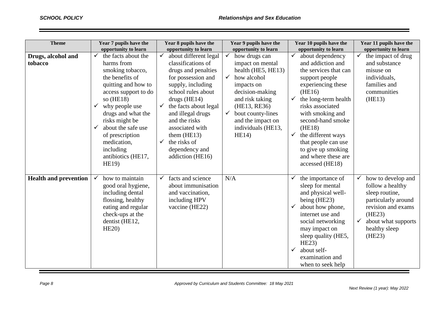| <b>Theme</b>                  | Year 7 pupils have the<br>opportunity to learn                                                                                                                                                                                                                                                                                                               | Year 8 pupils have the<br>opportunity to learn                                                                                                                                                                                                                                                                                                    | Year 9 pupils have the<br>opportunity to learn                                                                                                                                                                                                                      | Year 10 pupils have the<br>opportunity to learn                                                                                                                                                                                                                                                                                                                              | Year 11 pupils have the<br>opportunity to learn                                                                                                                                   |
|-------------------------------|--------------------------------------------------------------------------------------------------------------------------------------------------------------------------------------------------------------------------------------------------------------------------------------------------------------------------------------------------------------|---------------------------------------------------------------------------------------------------------------------------------------------------------------------------------------------------------------------------------------------------------------------------------------------------------------------------------------------------|---------------------------------------------------------------------------------------------------------------------------------------------------------------------------------------------------------------------------------------------------------------------|------------------------------------------------------------------------------------------------------------------------------------------------------------------------------------------------------------------------------------------------------------------------------------------------------------------------------------------------------------------------------|-----------------------------------------------------------------------------------------------------------------------------------------------------------------------------------|
| Drugs, alcohol and<br>tobacco | the facts about the<br>$\checkmark$<br>harms from<br>smoking tobacco,<br>the benefits of<br>quitting and how to<br>access support to do<br>so $(HE18)$<br>why people use<br>$\checkmark$<br>drugs and what the<br>risks might be<br>about the safe use<br>$\checkmark$<br>of prescription<br>medication,<br>including<br>antibiotics (HE17,<br><b>HE19</b> ) | about different legal<br>✓<br>classifications of<br>drugs and penalties<br>for possession and<br>supply, including<br>school rules about<br>drugs $(HE14)$<br>the facts about legal<br>$\checkmark$<br>and illegal drugs<br>and the risks<br>associated with<br>them (HE13)<br>the risks of<br>$\checkmark$<br>dependency and<br>addiction (HE16) | $\checkmark$<br>how drugs can<br>impact on mental<br>health (HE5, HE13)<br>how alcohol<br>$\checkmark$<br>impacts on<br>decision-making<br>and risk taking<br>(HE13, RE36)<br>bout county-lines<br>$\checkmark$<br>and the impact on<br>individuals (HE13,<br>HE14) | about dependency<br>$\checkmark$<br>and addiction and<br>the services that can<br>support people<br>experiencing these<br>(HE16)<br>the long-term health<br>$\checkmark$<br>risks associated<br>with smoking and<br>second-hand smoke<br>(HE18)<br>the different ways<br>$\checkmark$<br>that people can use<br>to give up smoking<br>and where these are<br>accessed (HE18) | the impact of drug<br>and substance<br>misuse on<br>individuals,<br>families and<br>communities<br>(HE13)                                                                         |
| <b>Health and prevention</b>  | how to maintain<br>good oral hygiene,<br>including dental<br>flossing, healthy<br>eating and regular<br>check-ups at the<br>dentist (HE12,<br><b>HE20</b> )                                                                                                                                                                                                  | facts and science<br>about immunisation<br>and vaccination,<br>including HPV<br>vaccine (HE22)                                                                                                                                                                                                                                                    | N/A                                                                                                                                                                                                                                                                 | the importance of<br>sleep for mental<br>and physical well-<br>being (HE23)<br>about how phone,<br>internet use and<br>social networking<br>may impact on<br>sleep quality (HE5,<br>HE23<br>about self-<br>examination and<br>when to seek help                                                                                                                              | how to develop and<br>follow a healthy<br>sleep routine,<br>particularly around<br>revision and exams<br>(HE23)<br>$\checkmark$<br>about what supports<br>healthy sleep<br>(HE23) |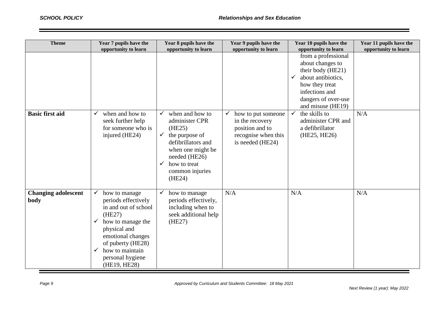| <b>Theme</b>                       | Year 7 pupils have the<br>opportunity to learn                                                                                                                                                                                                               | Year 8 pupils have the<br>opportunity to learn                                                                                                                                                         | Year 9 pupils have the<br>opportunity to learn                                                      | Year 10 pupils have the<br>opportunity to learn                                                                                                                                    | Year 11 pupils have the<br>opportunity to learn |
|------------------------------------|--------------------------------------------------------------------------------------------------------------------------------------------------------------------------------------------------------------------------------------------------------------|--------------------------------------------------------------------------------------------------------------------------------------------------------------------------------------------------------|-----------------------------------------------------------------------------------------------------|------------------------------------------------------------------------------------------------------------------------------------------------------------------------------------|-------------------------------------------------|
|                                    |                                                                                                                                                                                                                                                              |                                                                                                                                                                                                        |                                                                                                     | from a professional<br>about changes to<br>their body (HE21)<br>about antibiotics,<br>$\checkmark$<br>how they treat<br>infections and<br>dangers of over-use<br>and misuse (HE19) |                                                 |
| <b>Basic first aid</b>             | when and how to<br>$\checkmark$<br>seek further help<br>for someone who is<br>injured (HE24)                                                                                                                                                                 | when and how to<br>administer CPR<br>(HE25)<br>the purpose of<br>$\checkmark$<br>defibrillators and<br>when one might be<br>needed (HE26)<br>how to treat<br>$\checkmark$<br>common injuries<br>(HE24) | how to put someone<br>in the recovery<br>position and to<br>recognise when this<br>is needed (HE24) | the skills to<br>administer CPR and<br>a defibrillator<br>(HE25, HE26)                                                                                                             | N/A                                             |
| <b>Changing adolescent</b><br>body | $\checkmark$<br>how to manage<br>periods effectively<br>in and out of school<br>(HE27)<br>how to manage the<br>$\checkmark$<br>physical and<br>emotional changes<br>of puberty (HE28)<br>how to maintain<br>$\checkmark$<br>personal hygiene<br>(HE19, HE28) | how to manage<br>$\checkmark$<br>periods effectively,<br>including when to<br>seek additional help<br>(HE27)                                                                                           | N/A                                                                                                 | N/A                                                                                                                                                                                | N/A                                             |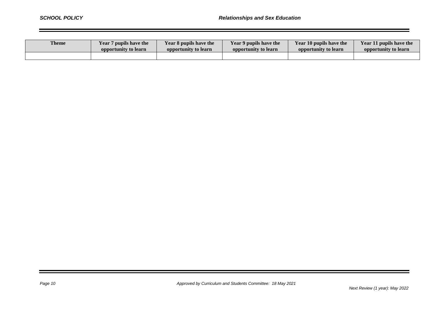| <b>Theme</b> | <b>Year 7 pupils have the</b> | Year 8 pupils have the | Year 9 pupils have the | Year 10 pupils have the | Year 11 pupils have the |
|--------------|-------------------------------|------------------------|------------------------|-------------------------|-------------------------|
|              | opportunity to learn          | opportunity to learn   | opportunity to learn   | opportunity to learn    | opportunity to learn    |
|              |                               |                        |                        |                         |                         |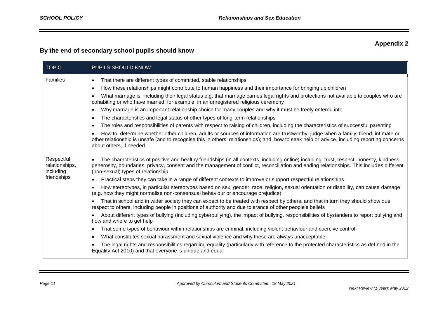## **Appendix 2**

## **By the end of secondary school pupils should know**

| <b>TOPIC</b>                                             | PUPILS SHOULD KNOW                                                                                                                                                                                                                                                                                                                                                                                                                                                                                                                                                                                                                                                                                                                                                                                                                                                                                                                                                                                                                                                                                                                                                                                                                                                                                                                                                                                                                                                                                                                                                                              |
|----------------------------------------------------------|-------------------------------------------------------------------------------------------------------------------------------------------------------------------------------------------------------------------------------------------------------------------------------------------------------------------------------------------------------------------------------------------------------------------------------------------------------------------------------------------------------------------------------------------------------------------------------------------------------------------------------------------------------------------------------------------------------------------------------------------------------------------------------------------------------------------------------------------------------------------------------------------------------------------------------------------------------------------------------------------------------------------------------------------------------------------------------------------------------------------------------------------------------------------------------------------------------------------------------------------------------------------------------------------------------------------------------------------------------------------------------------------------------------------------------------------------------------------------------------------------------------------------------------------------------------------------------------------------|
| <b>Families</b>                                          | That there are different types of committed, stable relationships<br>$\bullet$<br>How these relationships might contribute to human happiness and their importance for bringing up children<br>$\bullet$<br>What marriage is, including their legal status e.g. that marriage carries legal rights and protections not available to couples who are<br>$\bullet$<br>cohabiting or who have married, for example, in an unregistered religious ceremony<br>Why marriage is an important relationship choice for many couples and why it must be freely entered into<br>$\bullet$<br>The characteristics and legal status of other types of long-term relationships<br>$\bullet$<br>The roles and responsibilities of parents with respect to raising of children, including the characteristics of successful parenting<br>$\bullet$<br>How to: determine whether other children, adults or sources of information are trustworthy: judge when a family, friend, intimate or<br>$\bullet$<br>other relationship is unsafe (and to recognise this in others' relationships); and, how to seek help or advice, including reporting concerns<br>about others, if needed                                                                                                                                                                                                                                                                                                                                                                                                                             |
| Respectful<br>relationships,<br>including<br>friendships | The characteristics of positive and healthy friendships (in all contexts, including online) including: trust, respect, honesty, kindness,<br>$\bullet$<br>generosity, boundaries, privacy, consent and the management of conflict, reconciliation and ending relationships. This includes different<br>(non-sexual) types of relationship<br>Practical steps they can take in a range of different contexts to improve or support respectful relationships<br>$\bullet$<br>How stereotypes, in particular stereotypes based on sex, gender, race, religion, sexual orientation or disability, can cause damage<br>$\bullet$<br>(e.g. how they might normalise non-consensual behaviour or encourage prejudice)<br>That in school and in wider society they can expect to be treated with respect by others, and that in turn they should show due<br>respect to others, including people in positions of authority and due tolerance of other people's beliefs<br>About different types of bullying (including cyberbullying), the impact of bullying, responsibilities of bystanders to report bullying and<br>how and where to get help<br>That some types of behaviour within relationships are criminal, including violent behaviour and coercive control<br>$\bullet$<br>What constitutes sexual harassment and sexual violence and why these are always unacceptable<br>$\bullet$<br>The legal rights and responsibilities regarding equality (particularly with reference to the protected characteristics as defined in the<br>Equality Act 2010) and that everyone is unique and equal |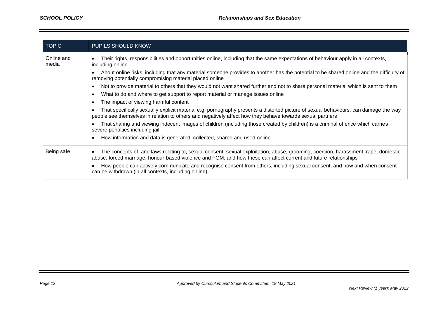| <b>TOPIC</b>        | PUPILS SHOULD KNOW                                                                                                                                                                                                                                                 |
|---------------------|--------------------------------------------------------------------------------------------------------------------------------------------------------------------------------------------------------------------------------------------------------------------|
| Online and<br>media | Their rights, responsibilities and opportunities online, including that the same expectations of behaviour apply in all contexts,<br>including online                                                                                                              |
|                     | About online risks, including that any material someone provides to another has the potential to be shared online and the difficulty of<br>removing potentially compromising material placed online                                                                |
|                     | Not to provide material to others that they would not want shared further and not to share personal material which is sent to them<br>$\bullet$                                                                                                                    |
|                     | What to do and where to get support to report material or manage issues online<br>$\bullet$                                                                                                                                                                        |
|                     | The impact of viewing harmful content<br>$\bullet$                                                                                                                                                                                                                 |
|                     | That specifically sexually explicit material e.g. pornography presents a distorted picture of sexual behaviours, can damage the way<br>people see themselves in relation to others and negatively affect how they behave towards sexual partners                   |
|                     | That sharing and viewing indecent images of children (including those created by children) is a criminal offence which carries<br>$\bullet$<br>severe penalties including jail                                                                                     |
|                     | How information and data is generated, collected, shared and used online<br>$\bullet$                                                                                                                                                                              |
| Being safe          | The concepts of, and laws relating to, sexual consent, sexual exploitation, abuse, grooming, coercion, harassment, rape, domestic<br>$\bullet$<br>abuse, forced marriage, honour-based violence and FGM, and how these can affect current and future relationships |
|                     | How people can actively communicate and recognise consent from others, including sexual consent, and how and when consent<br>can be withdrawn (in all contexts, including online)                                                                                  |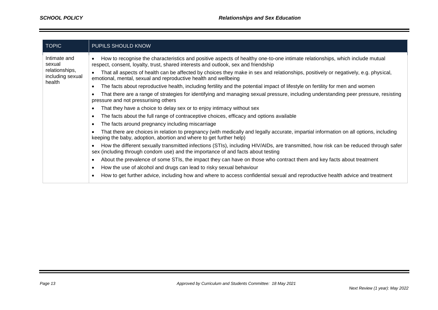| TOPIC                                                                  | PUPILS SHOULD KNOW                                                                                                                                                                                                                                                                                                                                                                                                                                                                                                                                                                                                                                                                                                                                                                                                                                                                                                                                                                                                                                                                                                                                                                                                                                                                                                                                                                                                                                                                                                                                                                                             |
|------------------------------------------------------------------------|----------------------------------------------------------------------------------------------------------------------------------------------------------------------------------------------------------------------------------------------------------------------------------------------------------------------------------------------------------------------------------------------------------------------------------------------------------------------------------------------------------------------------------------------------------------------------------------------------------------------------------------------------------------------------------------------------------------------------------------------------------------------------------------------------------------------------------------------------------------------------------------------------------------------------------------------------------------------------------------------------------------------------------------------------------------------------------------------------------------------------------------------------------------------------------------------------------------------------------------------------------------------------------------------------------------------------------------------------------------------------------------------------------------------------------------------------------------------------------------------------------------------------------------------------------------------------------------------------------------|
| Intimate and<br>sexual<br>relationships,<br>including sexual<br>health | How to recognise the characteristics and positive aspects of healthy one-to-one intimate relationships, which include mutual<br>respect, consent, loyalty, trust, shared interests and outlook, sex and friendship<br>That all aspects of health can be affected by choices they make in sex and relationships, positively or negatively, e.g. physical,<br>emotional, mental, sexual and reproductive health and wellbeing<br>The facts about reproductive health, including fertility and the potential impact of lifestyle on fertility for men and women<br>That there are a range of strategies for identifying and managing sexual pressure, including understanding peer pressure, resisting<br>pressure and not pressurising others<br>That they have a choice to delay sex or to enjoy intimacy without sex<br>The facts about the full range of contraceptive choices, efficacy and options available<br>The facts around pregnancy including miscarriage<br>That there are choices in relation to pregnancy (with medically and legally accurate, impartial information on all options, including<br>keeping the baby, adoption, abortion and where to get further help)<br>How the different sexually transmitted infections (STIs), including HIV/AIDs, are transmitted, how risk can be reduced through safer<br>sex (including through condom use) and the importance of and facts about testing<br>About the prevalence of some STIs, the impact they can have on those who contract them and key facts about treatment<br>How the use of alcohol and drugs can lead to risky sexual behaviour |
|                                                                        | How to get further advice, including how and where to access confidential sexual and reproductive health advice and treatment                                                                                                                                                                                                                                                                                                                                                                                                                                                                                                                                                                                                                                                                                                                                                                                                                                                                                                                                                                                                                                                                                                                                                                                                                                                                                                                                                                                                                                                                                  |